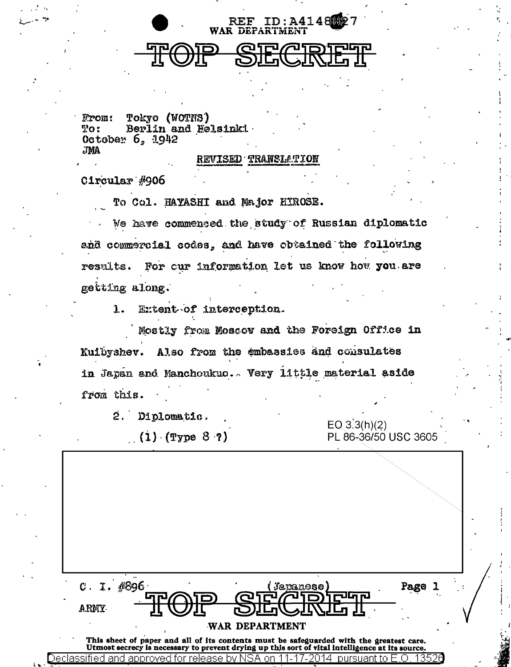

**From:** Tokyo (WOTNS) Berlin and Helsinki  $\mathbf{Po}$ : October  $6, 1942$ **JMA** 

## **REVISED TRANSLATION**

Circular #906

To Col. HAYASHI and Major HIROSE.

We have commented the study of Russian diplomatic and commercial codes, and have obtained the following results. For cur information let us know how you are getting along.

Extent of interception. 1.

Mostly from Moscov and the Foreign Office in Kuibyshev. Also from the embassies and consulates in Japan and Manchoukue.. Very little material aside from this.

2. Diplomatic.

٦e

 $(1)$  (Type 8 ?)

 $EO 3.3(h)(2)$ PL 86-36/50 USC 3605

| C. I. | #896                                    | Japanese                                                                                                                                                                                              | Page |
|-------|-----------------------------------------|-------------------------------------------------------------------------------------------------------------------------------------------------------------------------------------------------------|------|
| ARMY. |                                         | WAR DEPARTMENT                                                                                                                                                                                        |      |
|       | classified and approved for release by: | This sheet of paper and all of its contents must be safeguarded with the greatest care.<br>Utmost secrecy is necessary to prevent drying up this sort of vital intelligence at its source.<br>pursuai |      |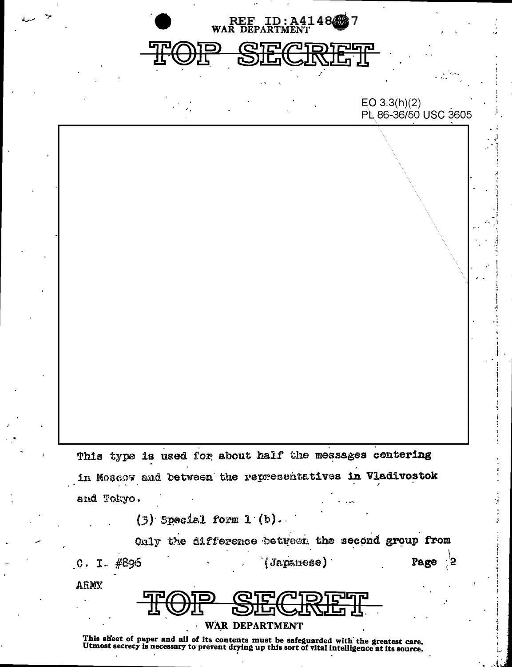

This sheet of paper and all of its contents must be safeguarded with the greatest care.<br>Utmost secrecy is necessary to prevent drying up this sort of vital intelligence at its source.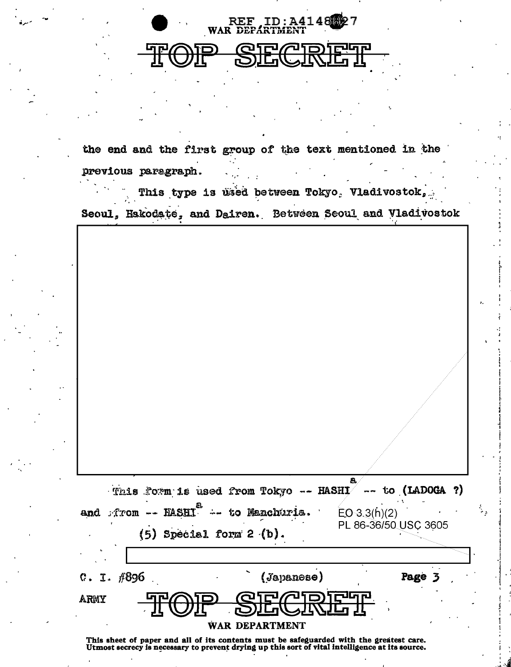

the end and the first group of the text mentioned in the previous paragraph.

This type is used between Tokyo, Vladivostok, Seoul, Hakodate, and Dairen. Between Seoul and Vladivostok

| This form is used from Tokyo -- HASHI -- to (LADOGA ?)                                  |            | 8.                   |        |  |
|-----------------------------------------------------------------------------------------|------------|----------------------|--------|--|
| -- HASHI <sup>2</sup> -- to Manchuria.<br>$\therefore$ from<br>and                      |            | EO 3.3(h)(2)         |        |  |
| Special form 2 (b).<br>(5)                                                              |            | PL 86-36/50 USC 3605 |        |  |
|                                                                                         |            |                      |        |  |
| $C. I.$ $#896$                                                                          | (sapanese) |                      | Page 3 |  |
| ARWY<br>ורים׳                                                                           |            | والمرحل              |        |  |
| WAR DEPARTMENT                                                                          |            |                      |        |  |
| This sheet of paper and all of its contents must be safeguarded with the greatest care. |            |                      |        |  |

Utmost secrecy is necessary to prevent drying up this sort of vital intelligence at its source.